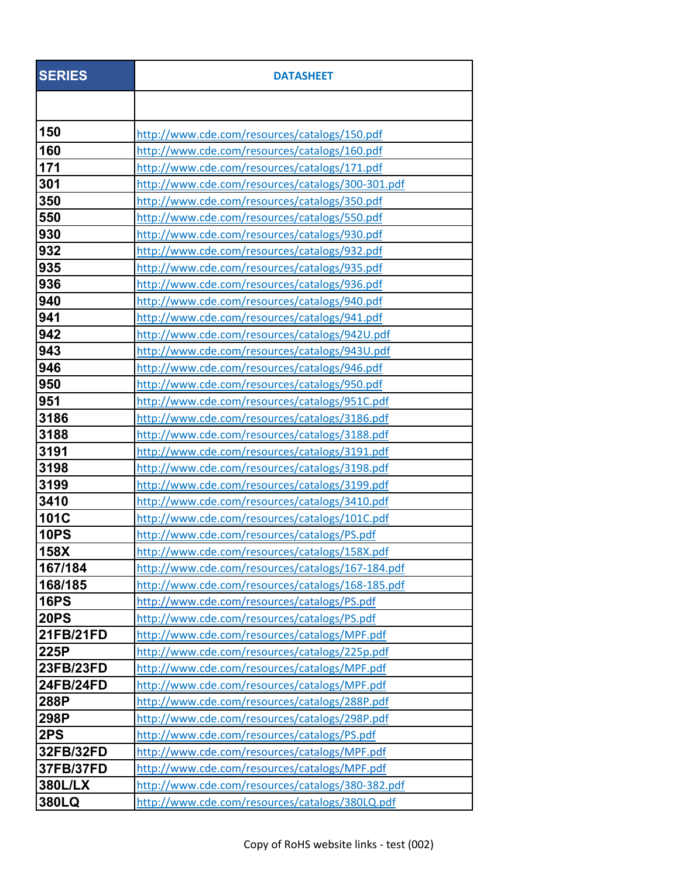| <b>SERIES</b>  | <b>DATASHEET</b>                                  |
|----------------|---------------------------------------------------|
|                |                                                   |
| 150            | http://www.cde.com/resources/catalogs/150.pdf     |
| 160            | http://www.cde.com/resources/catalogs/160.pdf     |
| 171            | http://www.cde.com/resources/catalogs/171.pdf     |
| 301            | http://www.cde.com/resources/catalogs/300-301.pdf |
| 350            | http://www.cde.com/resources/catalogs/350.pdf     |
| 550            | http://www.cde.com/resources/catalogs/550.pdf     |
| 930            | http://www.cde.com/resources/catalogs/930.pdf     |
| 932            | http://www.cde.com/resources/catalogs/932.pdf     |
| 935            | http://www.cde.com/resources/catalogs/935.pdf     |
| 936            | http://www.cde.com/resources/catalogs/936.pdf     |
| 940            | http://www.cde.com/resources/catalogs/940.pdf     |
| 941            | http://www.cde.com/resources/catalogs/941.pdf     |
| 942            | http://www.cde.com/resources/catalogs/942U.pdf    |
| 943            | http://www.cde.com/resources/catalogs/943U.pdf    |
| 946            | http://www.cde.com/resources/catalogs/946.pdf     |
| 950            | http://www.cde.com/resources/catalogs/950.pdf     |
| 951            | http://www.cde.com/resources/catalogs/951C.pdf    |
| 3186           | http://www.cde.com/resources/catalogs/3186.pdf    |
| 3188           | http://www.cde.com/resources/catalogs/3188.pdf    |
| 3191           | http://www.cde.com/resources/catalogs/3191.pdf    |
| 3198           | http://www.cde.com/resources/catalogs/3198.pdf    |
| 3199           | http://www.cde.com/resources/catalogs/3199.pdf    |
| 3410           | http://www.cde.com/resources/catalogs/3410.pdf    |
| 101C           | http://www.cde.com/resources/catalogs/101C.pdf    |
| <b>10PS</b>    | http://www.cde.com/resources/catalogs/PS.pdf      |
| <b>158X</b>    | http://www.cde.com/resources/catalogs/158X.pdf    |
| 167/184        | http://www.cde.com/resources/catalogs/167-184.pdf |
| 168/185        | http://www.cde.com/resources/catalogs/168-185.pdf |
| <b>16PS</b>    | http://www.cde.com/resources/catalogs/PS.pdf      |
| <b>20PS</b>    | http://www.cde.com/resources/catalogs/PS.pdf      |
| 21FB/21FD      | http://www.cde.com/resources/catalogs/MPF.pdf     |
| 225P           | http://www.cde.com/resources/catalogs/225p.pdf    |
| 23FB/23FD      | http://www.cde.com/resources/catalogs/MPF.pdf     |
| 24FB/24FD      | http://www.cde.com/resources/catalogs/MPF.pdf     |
| 288P           | http://www.cde.com/resources/catalogs/288P.pdf    |
| 298P           | http://www.cde.com/resources/catalogs/298P.pdf    |
| 2PS            | http://www.cde.com/resources/catalogs/PS.pdf      |
| 32FB/32FD      | http://www.cde.com/resources/catalogs/MPF.pdf     |
| 37FB/37FD      | http://www.cde.com/resources/catalogs/MPF.pdf     |
| <b>380L/LX</b> | http://www.cde.com/resources/catalogs/380-382.pdf |
| 380LQ          | http://www.cde.com/resources/catalogs/380LQ.pdf   |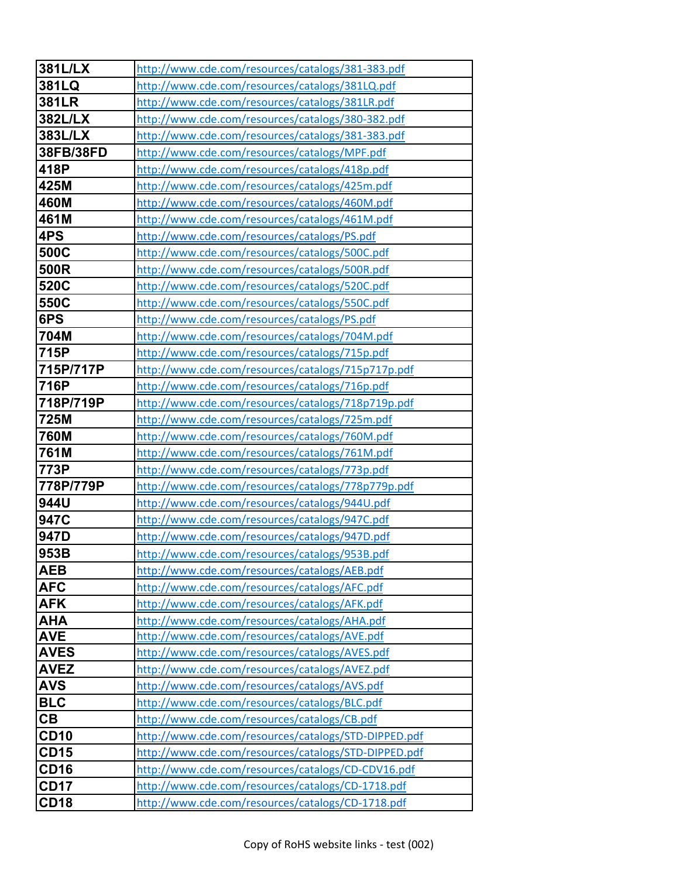| <b>381L/LX</b>             | http://www.cde.com/resources/catalogs/381-383.pdf                                                       |
|----------------------------|---------------------------------------------------------------------------------------------------------|
| 381LQ                      | http://www.cde.com/resources/catalogs/381LQ.pdf                                                         |
| 381LR                      | http://www.cde.com/resources/catalogs/381LR.pdf                                                         |
| <b>382L/LX</b>             | http://www.cde.com/resources/catalogs/380-382.pdf                                                       |
| 383L/LX                    | http://www.cde.com/resources/catalogs/381-383.pdf                                                       |
| 38FB/38FD                  | http://www.cde.com/resources/catalogs/MPF.pdf                                                           |
| 418P                       | http://www.cde.com/resources/catalogs/418p.pdf                                                          |
| 425M                       | http://www.cde.com/resources/catalogs/425m.pdf                                                          |
| 460M                       | http://www.cde.com/resources/catalogs/460M.pdf                                                          |
| 461M                       | http://www.cde.com/resources/catalogs/461M.pdf                                                          |
| 4PS                        | http://www.cde.com/resources/catalogs/PS.pdf                                                            |
| 500C                       | http://www.cde.com/resources/catalogs/500C.pdf                                                          |
| 500R                       | http://www.cde.com/resources/catalogs/500R.pdf                                                          |
| 520C                       | http://www.cde.com/resources/catalogs/520C.pdf                                                          |
| 550C                       | http://www.cde.com/resources/catalogs/550C.pdf                                                          |
| 6PS                        | http://www.cde.com/resources/catalogs/PS.pdf                                                            |
| 704M                       | http://www.cde.com/resources/catalogs/704M.pdf                                                          |
| 715P                       | http://www.cde.com/resources/catalogs/715p.pdf                                                          |
| 715P/717P                  | http://www.cde.com/resources/catalogs/715p717p.pdf                                                      |
| 716P                       | http://www.cde.com/resources/catalogs/716p.pdf                                                          |
| 718P/719P                  | http://www.cde.com/resources/catalogs/718p719p.pdf                                                      |
| 725M                       | http://www.cde.com/resources/catalogs/725m.pdf                                                          |
| <b>760M</b>                | http://www.cde.com/resources/catalogs/760M.pdf                                                          |
| 761M                       | http://www.cde.com/resources/catalogs/761M.pdf                                                          |
| 773P                       | http://www.cde.com/resources/catalogs/773p.pdf                                                          |
| 778P/779P                  | http://www.cde.com/resources/catalogs/778p779p.pdf                                                      |
| 944U                       | http://www.cde.com/resources/catalogs/944U.pdf                                                          |
| 947C                       | http://www.cde.com/resources/catalogs/947C.pdf                                                          |
| 947D                       | http://www.cde.com/resources/catalogs/947D.pdf                                                          |
| 953B                       | http://www.cde.com/resources/catalogs/953B.pdf                                                          |
| <b>AEB</b>                 | http://www.cde.com/resources/catalogs/AEB.pdf                                                           |
| <b>AFC</b>                 | http://www.cde.com/resources/catalogs/AFC.pdf                                                           |
| <b>AFK</b>                 | http://www.cde.com/resources/catalogs/AFK.pdf                                                           |
| <b>AHA</b>                 | http://www.cde.com/resources/catalogs/AHA.pdf                                                           |
| <b>AVE</b>                 | http://www.cde.com/resources/catalogs/AVE.pdf                                                           |
| <b>AVES</b>                | http://www.cde.com/resources/catalogs/AVES.pdf                                                          |
| <b>AVEZ</b>                | http://www.cde.com/resources/catalogs/AVEZ.pdf                                                          |
| <b>AVS</b>                 | http://www.cde.com/resources/catalogs/AVS.pdf                                                           |
| <b>BLC</b><br>CB           | http://www.cde.com/resources/catalogs/BLC.pdf                                                           |
|                            | http://www.cde.com/resources/catalogs/CB.pdf                                                            |
| <b>CD10</b><br><b>CD15</b> | http://www.cde.com/resources/catalogs/STD-DIPPED.pdf                                                    |
| CD <sub>16</sub>           | http://www.cde.com/resources/catalogs/STD-DIPPED.pdf                                                    |
| <b>CD17</b>                | http://www.cde.com/resources/catalogs/CD-CDV16.pdf<br>http://www.cde.com/resources/catalogs/CD-1718.pdf |
| <b>CD18</b>                |                                                                                                         |
|                            | http://www.cde.com/resources/catalogs/CD-1718.pdf                                                       |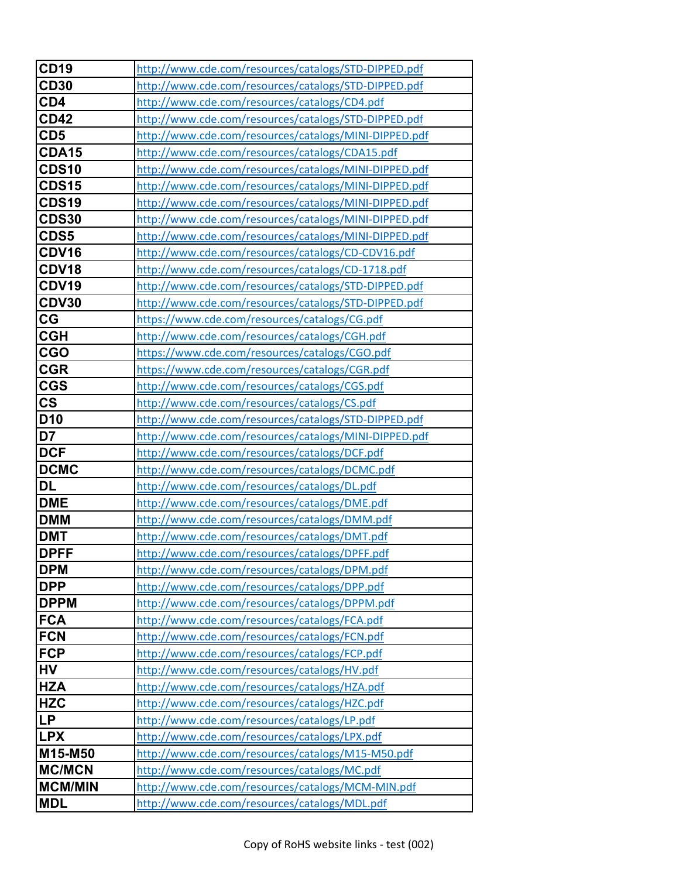| <b>CD19</b>              | http://www.cde.com/resources/catalogs/STD-DIPPED.pdf  |
|--------------------------|-------------------------------------------------------|
| <b>CD30</b>              | http://www.cde.com/resources/catalogs/STD-DIPPED.pdf  |
| CD4                      | http://www.cde.com/resources/catalogs/CD4.pdf         |
| <b>CD42</b>              | http://www.cde.com/resources/catalogs/STD-DIPPED.pdf  |
| CD <sub>5</sub>          | http://www.cde.com/resources/catalogs/MINI-DIPPED.pdf |
| <b>CDA15</b>             | http://www.cde.com/resources/catalogs/CDA15.pdf       |
| CDS <sub>10</sub>        | http://www.cde.com/resources/catalogs/MINI-DIPPED.pdf |
| <b>CDS15</b>             | http://www.cde.com/resources/catalogs/MINI-DIPPED.pdf |
| <b>CDS19</b>             | http://www.cde.com/resources/catalogs/MINI-DIPPED.pdf |
| <b>CDS30</b>             | http://www.cde.com/resources/catalogs/MINI-DIPPED.pdf |
| CDS5                     | http://www.cde.com/resources/catalogs/MINI-DIPPED.pdf |
| CDV16                    | http://www.cde.com/resources/catalogs/CD-CDV16.pdf    |
| CDV18                    | http://www.cde.com/resources/catalogs/CD-1718.pdf     |
| CDV19                    | http://www.cde.com/resources/catalogs/STD-DIPPED.pdf  |
| CDV30                    | http://www.cde.com/resources/catalogs/STD-DIPPED.pdf  |
| CG                       | https://www.cde.com/resources/catalogs/CG.pdf         |
| <b>CGH</b>               | http://www.cde.com/resources/catalogs/CGH.pdf         |
| <b>CGO</b>               | https://www.cde.com/resources/catalogs/CGO.pdf        |
| <b>CGR</b>               | https://www.cde.com/resources/catalogs/CGR.pdf        |
| <b>CGS</b>               | http://www.cde.com/resources/catalogs/CGS.pdf         |
| $\mathsf{CS}\phantom{0}$ | http://www.cde.com/resources/catalogs/CS.pdf          |
| D <sub>10</sub>          | http://www.cde.com/resources/catalogs/STD-DIPPED.pdf  |
| D7                       | http://www.cde.com/resources/catalogs/MINI-DIPPED.pdf |
| <b>DCF</b>               | http://www.cde.com/resources/catalogs/DCF.pdf         |
| <b>DCMC</b>              | http://www.cde.com/resources/catalogs/DCMC.pdf        |
| <b>DL</b>                | http://www.cde.com/resources/catalogs/DL.pdf          |
| <b>DME</b>               | http://www.cde.com/resources/catalogs/DME.pdf         |
| <b>DMM</b>               | http://www.cde.com/resources/catalogs/DMM.pdf         |
| <b>DMT</b>               | http://www.cde.com/resources/catalogs/DMT.pdf         |
| <b>DPFF</b>              | http://www.cde.com/resources/catalogs/DPFF.pdf        |
| <b>DPM</b>               | http://www.cde.com/resources/catalogs/DPM.pdf         |
| <b>DPP</b>               | http://www.cde.com/resources/catalogs/DPP.pdf         |
| <b>DPPM</b>              | http://www.cde.com/resources/catalogs/DPPM.pdf        |
| <b>FCA</b>               | http://www.cde.com/resources/catalogs/FCA.pdf         |
| <b>FCN</b>               | http://www.cde.com/resources/catalogs/FCN.pdf         |
| <b>FCP</b>               | http://www.cde.com/resources/catalogs/FCP.pdf         |
| <b>HV</b>                | http://www.cde.com/resources/catalogs/HV.pdf          |
| <b>HZA</b>               | http://www.cde.com/resources/catalogs/HZA.pdf         |
| <b>HZC</b>               | http://www.cde.com/resources/catalogs/HZC.pdf         |
| <b>LP</b>                | http://www.cde.com/resources/catalogs/LP.pdf          |
| <b>LPX</b>               | http://www.cde.com/resources/catalogs/LPX.pdf         |
| M15-M50                  | http://www.cde.com/resources/catalogs/M15-M50.pdf     |
| <b>MC/MCN</b>            | http://www.cde.com/resources/catalogs/MC.pdf          |
| <b>MCM/MIN</b>           | http://www.cde.com/resources/catalogs/MCM-MIN.pdf     |
| <b>MDL</b>               | http://www.cde.com/resources/catalogs/MDL.pdf         |